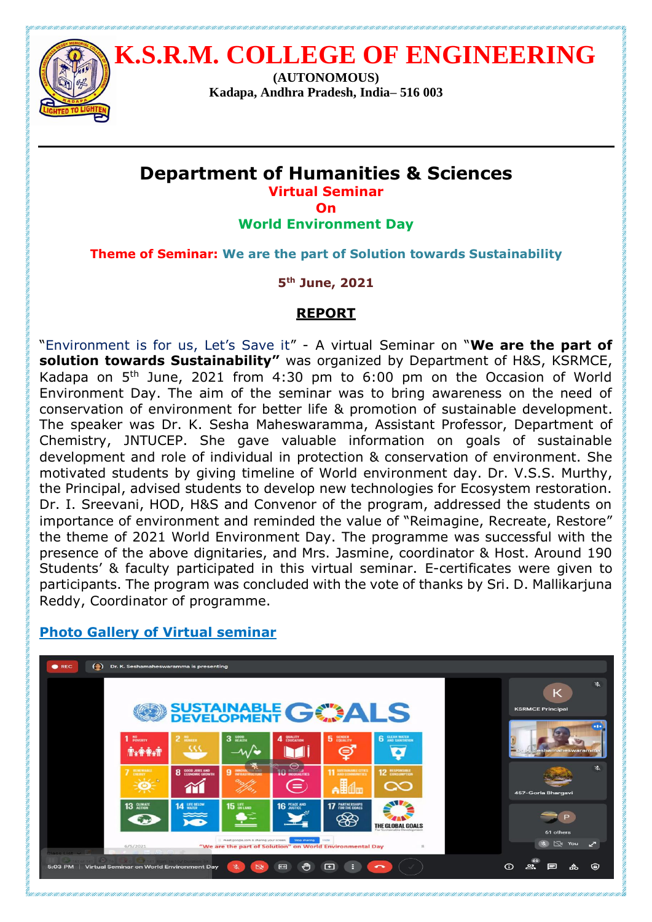

 **K.S.R.M. COLLEGE OF ENGINEERING**

**(AUTONOMOUS) Kadapa, Andhra Pradesh, India– 516 003**

## **Department of Humanities & Sciences Virtual Seminar**

**On**

**World Environment Day**

**Theme of Seminar: We are the part of Solution towards Sustainability**

**5 th June, 2021** 

## **REPORT**

"Environment is for us, Let's Save it" - A virtual Seminar on "**We are the part of solution towards Sustainability"** was organized by Department of H&S, KSRMCE, Kadapa on 5th June, 2021 from 4:30 pm to 6:00 pm on the Occasion of World Environment Day. The aim of the seminar was to bring awareness on the need of conservation of environment for better life & promotion of sustainable development. The speaker was Dr. K. Sesha Maheswaramma, Assistant Professor, Department of Chemistry, JNTUCEP. She gave valuable information on goals of sustainable development and role of individual in protection & conservation of environment. She motivated students by giving timeline of World environment day. Dr. V.S.S. Murthy, the Principal, advised students to develop new technologies for Ecosystem restoration. Dr. I. Sreevani, HOD, H&S and Convenor of the program, addressed the students on importance of environment and reminded the value of "Reimagine, Recreate, Restore" the theme of 2021 World Environment Day. The programme was successful with the presence of the above dignitaries, and Mrs. Jasmine, coordinator & Host. Around 190 Students' & faculty participated in this virtual seminar. E-certificates were given to participants. The program was concluded with the vote of thanks by Sri. D. Mallikarjuna Reddy, Coordinator of programme.



## **Photo Gallery of Virtual seminar**